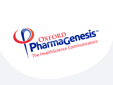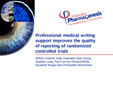



# **Professional medical writing support improves the quality of reporting of randomized controlled trials**

William Gattrell, Sally Hopewell, Kate Young, Stephen Lang, Paul Farrow, Richard White, Elizabeth Wager and Christopher Winchester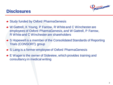# **DISTINGUARD PROPERTY**

## **Disclosures**

- Study funded by Oxford PharmaGenesis
- W Gattrell, K Young, P Farrow, R White and C Winchester are employees of Oxford PharmaGenesis, and W Gattrell, P Farrow, R White and C Winchester are shareholders
- S Hopewell is a member of the Consolidated Standards of Reporting Trials (CONSORT) group
- S Lang is a former employee of Oxford PharmaGenesis
- E Wager is the owner of Sideview, which provides training and consultancy in medical writing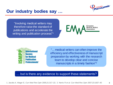

**4**

### **Our industry bodies say …**

"Involving medical writers may therefore raise the standard of publications and accelerate the writing and publication process"<sup>1</sup>





"... medical writers can often improve the efficiency and effectiveness of manuscript preparation by working with the research team to develop clear and concise manuscripts in a timely fashion"<sup>2</sup>

#### but is there any evidence to support these statements?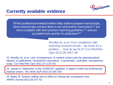

### **Currently available evidence**

"When professional medical writers help authors prepare manuscripts, these manuscripts are less likely to be retracted for misconduct, $22$  are more compliant with best-practice reporting guidelines, $23$  and are accepted more quickly for publication<sup>24"</sup>

> Woolley KL *et al.* Poor compliance with reporting research results – we know it's a problem … how do we fix it? *Curr Med Res Opin* 2012;28:1857–60

22. Woolley KL *et al.* Lack of involvement of medical writers and the pharmaceutical industry in publications retracted for misconduct: a systematic, controlled, retrospective study. *Curr Med Res Opin* 2011;27:1175–82

23. Jacobs A. Adherence to the CONSORT guideline in papers written by professional medical writers. *The Write Stuff* 2010;19:196–200

24. Bailey M. Science editing and its effect on manuscript acceptance time. *AMWA Journal 2011*;26:147–52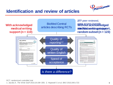

# **Identification and review of articles**



RCT, randomized controlled trial

1. Jacobs A. *The Write Stuff* 2010;19:196−200; 2. Hopewell S *et al. BMJ* 2010;340:c723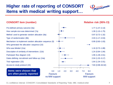# **Higher rate of reporting of CONSORT items with medical writing support…**



#### **CONSORT item (number)**

Pre-defined primary outcome (6a) How sample size was determined (7a) Method used to generate random allocation (8a) Type of randomization (8b) Mechanism to implement random allocation sequence (9) Who generated the allocation sequence (10) Who was blinded (11a) Description of similarity of interventions (11b) Participant flow diagram (13) Dates defining recruitment and follow-up (14a) Trial registration (23) Access to study protocol (24)

**are often poorly reported**



#### **Relative risk (95% CI)**

CI, confidence interval; CONSORT, Consolidated Standards of Reporting Trials; MW, medical writer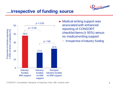![](_page_7_Picture_0.jpeg)

## **…irrespective of funding source**

![](_page_7_Figure_2.jpeg)

Medical writing support was associated with enhanced reporting of CONSORT checklist items ( $\geq 50\%$ ) versus no medical writing support

Irrespective of industry funding

CONSORT, Consolidated Standards of Reporting Trials; MW, medical writer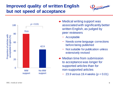# **Improved quality of written English but not speed of acceptance**

![](_page_8_Picture_1.jpeg)

![](_page_8_Figure_2.jpeg)

- Medical writing support was associated with significantly better written English, as judged by peer reviewers
	- − Acceptable
	- − Needs some language corrections before being published
	- − Not suitable for publication unless extensively revised
- Median time from submission to acceptance was longer for supported articles than for non-supported articles
	- − 23.9 versus 19.4 weeks (*p* < 0.01)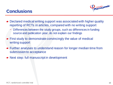# **Conclusions**

![](_page_9_Picture_1.jpeg)

- Declared medical writing support was associated with higher quality reporting of RCTs in articles, compared with no writing support
	- − Differences between the study groups, such as differences in funding source and publication year, do not explain our findings
- First study to demonstrate convincingly the value of medical writing support
- Further analyses to understand reason for longer median time from submission to acceptance
- Next step: full manuscript in development